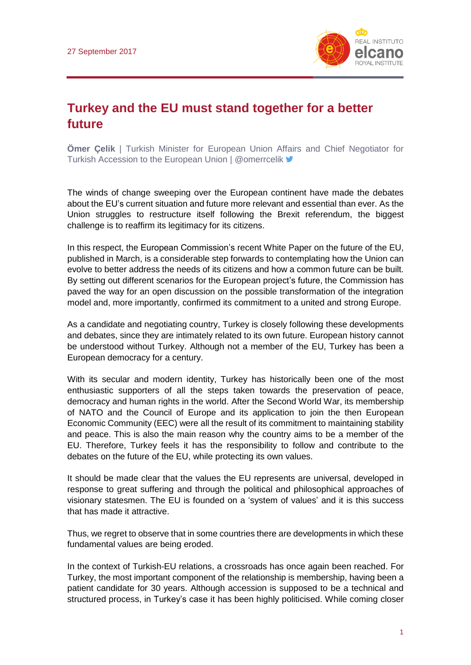

## **Turkey and the EU must stand together for a better future**

**Ömer Çelik** | Turkish Minister for European Union Affairs and Chief Negotiator for Turkish Accession to the European Union | @omerrcelik ■

The winds of change sweeping over the European continent have made the debates about the EU's current situation and future more relevant and essential than ever. As the Union struggles to restructure itself following the Brexit referendum, the biggest challenge is to reaffirm its legitimacy for its citizens.

In this respect, the European Commission's recent White Paper on the future of the EU, published in March, is a considerable step forwards to contemplating how the Union can evolve to better address the needs of its citizens and how a common future can be built. By setting out different scenarios for the European project's future, the Commission has paved the way for an open discussion on the possible transformation of the integration model and, more importantly, confirmed its commitment to a united and strong Europe.

As a candidate and negotiating country, Turkey is closely following these developments and debates, since they are intimately related to its own future. European history cannot be understood without Turkey. Although not a member of the EU, Turkey has been a European democracy for a century.

With its secular and modern identity, Turkey has historically been one of the most enthusiastic supporters of all the steps taken towards the preservation of peace, democracy and human rights in the world. After the Second World War, its membership of NATO and the Council of Europe and its application to join the then European Economic Community (EEC) were all the result of its commitment to maintaining stability and peace. This is also the main reason why the country aims to be a member of the EU. Therefore, Turkey feels it has the responsibility to follow and contribute to the debates on the future of the EU, while protecting its own values.

It should be made clear that the values the EU represents are universal, developed in response to great suffering and through the political and philosophical approaches of visionary statesmen. The EU is founded on a 'system of values' and it is this success that has made it attractive.

Thus, we regret to observe that in some countries there are developments in which these fundamental values are being eroded.

In the context of Turkish-EU relations, a crossroads has once again been reached. For Turkey, the most important component of the relationship is membership, having been a patient candidate for 30 years. Although accession is supposed to be a technical and structured process, in Turkey's case it has been highly politicised. While coming closer